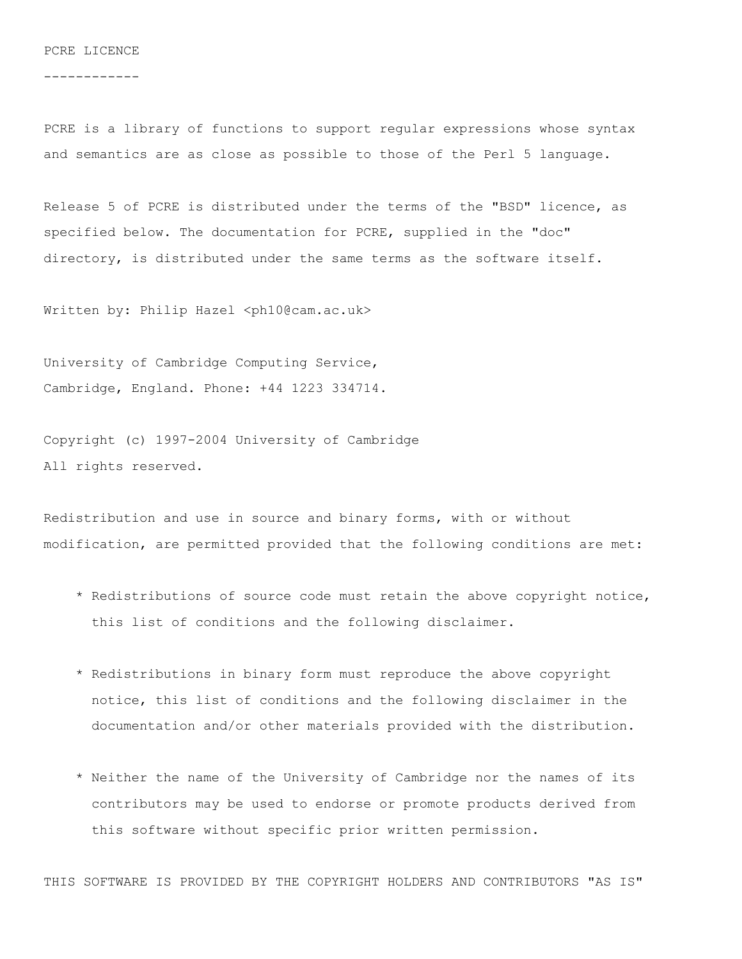## PCRE LICENCE

------------

PCRE is a library of functions to support regular expressions whose syntax and semantics are as close as possible to those of the Perl 5 language.

Release 5 of PCRE is distributed under the terms of the "BSD" licence, as specified below. The documentation for PCRE, supplied in the "doc" directory, is distributed under the same terms as the software itself.

Written by: Philip Hazel <ph10@cam.ac.uk>

University of Cambridge Computing Service, Cambridge, England. Phone: +44 1223 334714.

Copyright (c) 1997-2004 University of Cambridge All rights reserved.

Redistribution and use in source and binary forms, with or without modification, are permitted provided that the following conditions are met:

- \* Redistributions of source code must retain the above copyright notice, this list of conditions and the following disclaimer.
- \* Redistributions in binary form must reproduce the above copyright notice, this list of conditions and the following disclaimer in the documentation and/or other materials provided with the distribution.
- \* Neither the name of the University of Cambridge nor the names of its contributors may be used to endorse or promote products derived from this software without specific prior written permission.

THIS SOFTWARE IS PROVIDED BY THE COPYRIGHT HOLDERS AND CONTRIBUTORS "AS IS"